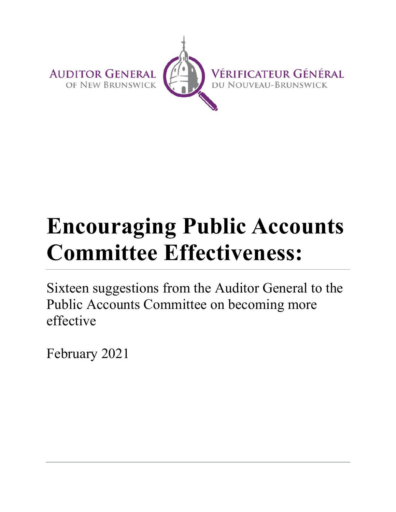

# **Encouraging Public Accounts Committee Effectiveness:**

Sixteen suggestions from the Auditor General to the Public Accounts Committee on becoming more effective

February 2021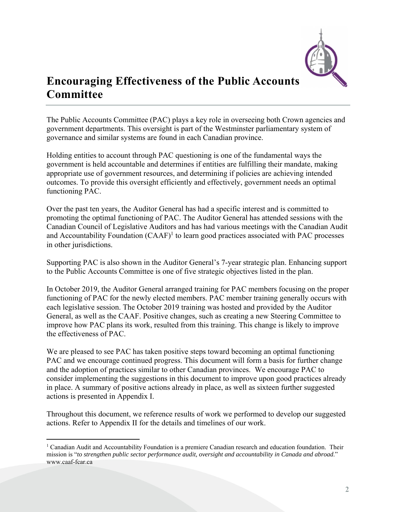

# **Encouraging Effectiveness of the Public Accounts Committee**

The Public Accounts Committee (PAC) plays a key role in overseeing both Crown agencies and government departments. This oversight is part of the Westminster parliamentary system of governance and similar systems are found in each Canadian province.

Holding entities to account through PAC questioning is one of the fundamental ways the government is held accountable and determines if entities are fulfilling their mandate, making appropriate use of government resources, and determining if policies are achieving intended outcomes. To provide this oversight efficiently and effectively, government needs an optimal functioning PAC.

Over the past ten years, the Auditor General has had a specific interest and is committed to promoting the optimal functioning of PAC. The Auditor General has attended sessions with the Canadian Council of Legislative Auditors and has had various meetings with the Canadian Audit and Accountability Foundation  $(CAAF)^1$  to learn good practices associated with PAC processes in other jurisdictions.

Supporting PAC is also shown in the Auditor General's 7-year strategic plan. Enhancing support to the Public Accounts Committee is one of five strategic objectives listed in the plan.

In October 2019, the Auditor General arranged training for PAC members focusing on the proper functioning of PAC for the newly elected members. PAC member training generally occurs with each legislative session. The October 2019 training was hosted and provided by the Auditor General, as well as the CAAF. Positive changes, such as creating a new Steering Committee to improve how PAC plans its work, resulted from this training. This change is likely to improve the effectiveness of PAC.

We are pleased to see PAC has taken positive steps toward becoming an optimal functioning PAC and we encourage continued progress. This document will form a basis for further change and the adoption of practices similar to other Canadian provinces. We encourage PAC to consider implementing the suggestions in this document to improve upon good practices already in place. A summary of positive actions already in place, as well as sixteen further suggested actions is presented in Appendix I.

Throughout this document, we reference results of work we performed to develop our suggested actions. Refer to Appendix II for the details and timelines of our work.

 <sup>1</sup> Canadian Audit and Accountability Foundation is a premiere Canadian research and education foundation. Their mission is "*to strengthen public sector performance audit, oversight and accountability in Canada and abroad*." www.caaf-fcar.ca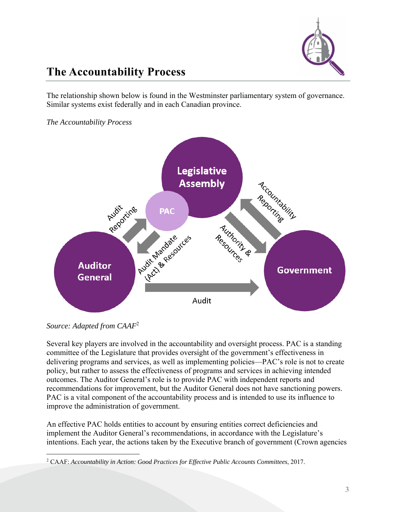

# **The Accountability Process**

The relationship shown below is found in the Westminster parliamentary system of governance. Similar systems exist federally and in each Canadian province.

*The Accountability Process* 



*Source: Adapted from CAAF*<sup>2</sup>

Several key players are involved in the accountability and oversight process. PAC is a standing committee of the Legislature that provides oversight of the government's effectiveness in delivering programs and services, as well as implementing policies—PAC's role is not to create policy, but rather to assess the effectiveness of programs and services in achieving intended outcomes. The Auditor General's role is to provide PAC with independent reports and recommendations for improvement, but the Auditor General does not have sanctioning powers. PAC is a vital component of the accountability process and is intended to use its influence to improve the administration of government.

An effective PAC holds entities to account by ensuring entities correct deficiencies and implement the Auditor General's recommendations, in accordance with the Legislature's intentions. Each year, the actions taken by the Executive branch of government (Crown agencies

 2 CAAF: *Accountability in Action: Good Practices for Effective Public Accounts Committees*, 2017.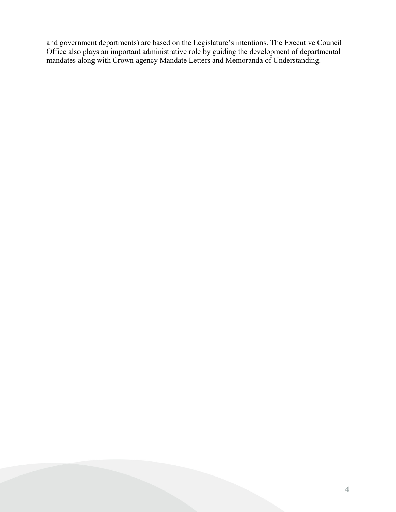and government departments) are based on the Legislature's intentions. The Executive Council Office also plays an important administrative role by guiding the development of departmental mandates along with Crown agency Mandate Letters and Memoranda of Understanding.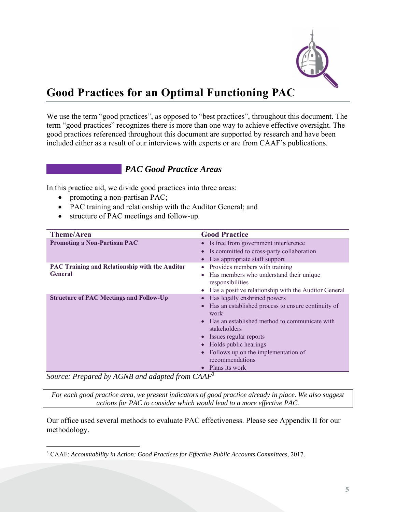

# **Good Practices for an Optimal Functioning PAC**

We use the term "good practices", as opposed to "best practices", throughout this document. The term "good practices" recognizes there is more than one way to achieve effective oversight. The good practices referenced throughout this document are supported by research and have been included either as a result of our interviews with experts or are from CAAF's publications.

# *PAC Good Practice Areas*

In this practice aid, we divide good practices into three areas:

- promoting a non-partisan PAC;
- PAC training and relationship with the Auditor General; and
- structure of PAC meetings and follow-up.

| <b>Theme/Area</b>                                                       | <b>Good Practice</b>                                                                                                                                                                                                                                                                                                                                          |
|-------------------------------------------------------------------------|---------------------------------------------------------------------------------------------------------------------------------------------------------------------------------------------------------------------------------------------------------------------------------------------------------------------------------------------------------------|
| <b>Promoting a Non-Partisan PAC</b>                                     | Is free from government interference<br>$\bullet$<br>Is committed to cross-party collaboration<br>Has appropriate staff support                                                                                                                                                                                                                               |
| <b>PAC Training and Relationship with the Auditor</b><br><b>General</b> | Provides members with training<br>$\bullet$<br>Has members who understand their unique<br>$\bullet$<br>responsibilities<br>Has a positive relationship with the Auditor General<br>$\bullet$                                                                                                                                                                  |
| <b>Structure of PAC Meetings and Follow-Up</b>                          | Has legally enshrined powers<br>Has an established process to ensure continuity of<br>$\bullet$<br>work<br>Has an established method to communicate with<br>$\bullet$<br>stakeholders<br>Issues regular reports<br>$\bullet$<br>Holds public hearings<br>Follows up on the implementation of<br>recommendations<br>Plans its work<br>$\overline{\phantom{0}}$ |

*Source: Prepared by AGNB and adapted from CAAF*<sup>3</sup>

*For each good practice area, we present indicators of good practice already in place. We also suggest actions for PAC to consider which would lead to a more effective PAC.* 

Our office used several methods to evaluate PAC effectiveness. Please see Appendix II for our methodology.

<sup>3</sup> CAAF: *Accountability in Action: Good Practices for Effective Public Accounts Committees*, 2017.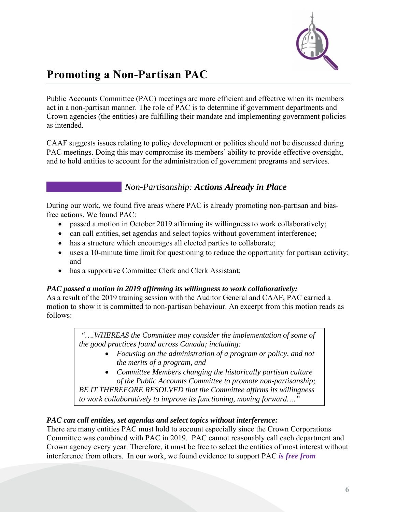

# **Promoting a Non-Partisan PAC**

Public Accounts Committee (PAC) meetings are more efficient and effective when its members act in a non-partisan manner. The role of PAC is to determine if government departments and Crown agencies (the entities) are fulfilling their mandate and implementing government policies as intended.

CAAF suggests issues relating to policy development or politics should not be discussed during PAC meetings. Doing this may compromise its members' ability to provide effective oversight, and to hold entities to account for the administration of government programs and services.

# *Non-Partisanship: Actions Already in Place*

During our work, we found five areas where PAC is already promoting non-partisan and biasfree actions. We found PAC:

- passed a motion in October 2019 affirming its willingness to work collaboratively;
- can call entities, set agendas and select topics without government interference;
- has a structure which encourages all elected parties to collaborate;
- uses a 10-minute time limit for questioning to reduce the opportunity for partisan activity; and
- has a supportive Committee Clerk and Clerk Assistant;

## *PAC passed a motion in 2019 affirming its willingness to work collaboratively:*

As a result of the 2019 training session with the Auditor General and CAAF, PAC carried a motion to show it is committed to non-partisan behaviour. An excerpt from this motion reads as follows:

> *"….WHEREAS the Committee may consider the implementation of some of the good practices found across Canada; including:*

- *Focusing on the administration of a program or policy, and not the merits of a program, and*
- *Committee Members changing the historically partisan culture of the Public Accounts Committee to promote non-partisanship;*

*BE IT THEREFORE RESOLVED that the Committee affirms its willingness to work collaboratively to improve its functioning, moving forward…."* 

# *PAC can call entities, set agendas and select topics without interference:*

There are many entities PAC must hold to account especially since the Crown Corporations Committee was combined with PAC in 2019. PAC cannot reasonably call each department and Crown agency every year. Therefore, it must be free to select the entities of most interest without interference from others. In our work, we found evidence to support PAC *is free from*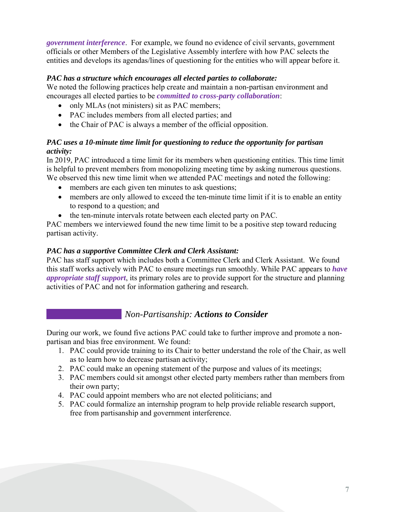*government interference*. For example, we found no evidence of civil servants, government officials or other Members of the Legislative Assembly interfere with how PAC selects the entities and develops its agendas/lines of questioning for the entities who will appear before it.

## *PAC has a structure which encourages all elected parties to collaborate:*

We noted the following practices help create and maintain a non-partisan environment and encourages all elected parties to be *committed to cross-party collaboration*:

- only MLAs (not ministers) sit as PAC members;
- PAC includes members from all elected parties; and
- the Chair of PAC is always a member of the official opposition.

# *PAC uses a 10-minute time limit for questioning to reduce the opportunity for partisan activity:*

In 2019, PAC introduced a time limit for its members when questioning entities. This time limit is helpful to prevent members from monopolizing meeting time by asking numerous questions. We observed this new time limit when we attended PAC meetings and noted the following:

- members are each given ten minutes to ask questions;
- members are only allowed to exceed the ten-minute time limit if it is to enable an entity to respond to a question; and
- the ten-minute intervals rotate between each elected party on PAC.

PAC members we interviewed found the new time limit to be a positive step toward reducing partisan activity.

# *PAC has a supportive Committee Clerk and Clerk Assistant:*

PAC has staff support which includes both a Committee Clerk and Clerk Assistant. We found this staff works actively with PAC to ensure meetings run smoothly. While PAC appears to *have appropriate staff support*, its primary roles are to provide support for the structure and planning activities of PAC and not for information gathering and research.

# *Non-Partisanship: Actions to Consider*

During our work, we found five actions PAC could take to further improve and promote a nonpartisan and bias free environment. We found:

- 1. PAC could provide training to its Chair to better understand the role of the Chair, as well as to learn how to decrease partisan activity;
- 2. PAC could make an opening statement of the purpose and values of its meetings;
- 3. PAC members could sit amongst other elected party members rather than members from their own party;
- 4. PAC could appoint members who are not elected politicians; and
- 5. PAC could formalize an internship program to help provide reliable research support, free from partisanship and government interference.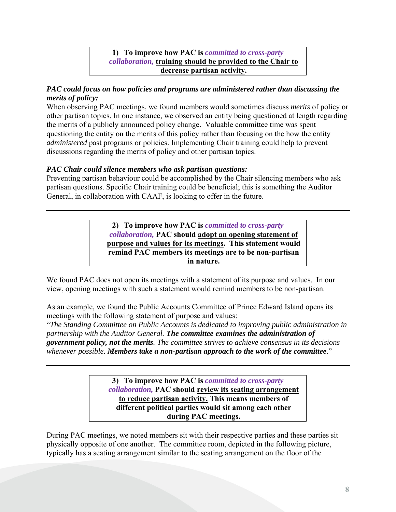# **1) To improve how PAC is** *committed to cross-party collaboration,* **training should be provided to the Chair to decrease partisan activity.**

# *PAC could focus on how policies and programs are administered rather than discussing the merits of policy:*

When observing PAC meetings, we found members would sometimes discuss *merits* of policy or other partisan topics. In one instance, we observed an entity being questioned at length regarding the merits of a publicly announced policy change. Valuable committee time was spent questioning the entity on the merits of this policy rather than focusing on the how the entity *administered* past programs or policies. Implementing Chair training could help to prevent discussions regarding the merits of policy and other partisan topics.

# *PAC Chair could silence members who ask partisan questions:*

Preventing partisan behaviour could be accomplished by the Chair silencing members who ask partisan questions. Specific Chair training could be beneficial; this is something the Auditor General, in collaboration with CAAF, is looking to offer in the future.

> **2) To improve how PAC is** *committed to cross-party collaboration,* **PAC should adopt an opening statement of purpose and values for its meetings. This statement would remind PAC members its meetings are to be non-partisan in nature.**

We found PAC does not open its meetings with a statement of its purpose and values. In our view, opening meetings with such a statement would remind members to be non-partisan.

As an example, we found the Public Accounts Committee of Prince Edward Island opens its meetings with the following statement of purpose and values:

"*The Standing Committee on Public Accounts is dedicated to improving public administration in partnership with the Auditor General. The committee examines the administration of government policy, not the merits. The committee strives to achieve consensus in its decisions whenever possible. Members take a non-partisan approach to the work of the committee*."

> **3) To improve how PAC is** *committed to cross-party collaboration,* **PAC should review its seating arrangement to reduce partisan activity. This means members of different political parties would sit among each other during PAC meetings.**

During PAC meetings, we noted members sit with their respective parties and these parties sit physically opposite of one another. The committee room, depicted in the following picture, typically has a seating arrangement similar to the seating arrangement on the floor of the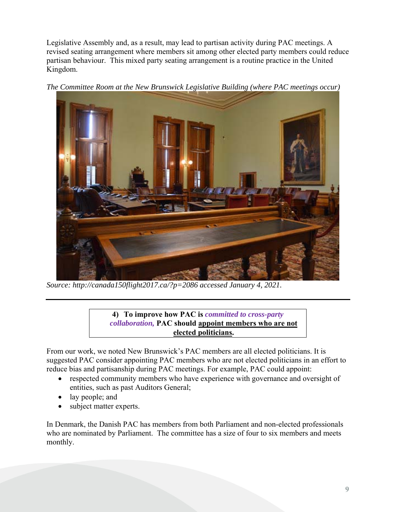Legislative Assembly and, as a result, may lead to partisan activity during PAC meetings. A revised seating arrangement where members sit among other elected party members could reduce partisan behaviour. This mixed party seating arrangement is a routine practice in the United Kingdom.

*The Committee Room at the New Brunswick Legislative Building (where PAC meetings occur)* 



*Source: http://canada150flight2017.ca/?p=2086 accessed January 4, 2021.* 

**4) To improve how PAC is** *committed to cross-party collaboration,* **PAC should appoint members who are not elected politicians.**

From our work, we noted New Brunswick's PAC members are all elected politicians. It is suggested PAC consider appointing PAC members who are not elected politicians in an effort to reduce bias and partisanship during PAC meetings. For example, PAC could appoint:

- respected community members who have experience with governance and oversight of entities, such as past Auditors General;
- lay people; and
- subject matter experts.

In Denmark, the Danish PAC has members from both Parliament and non-elected professionals who are nominated by Parliament. The committee has a size of four to six members and meets monthly.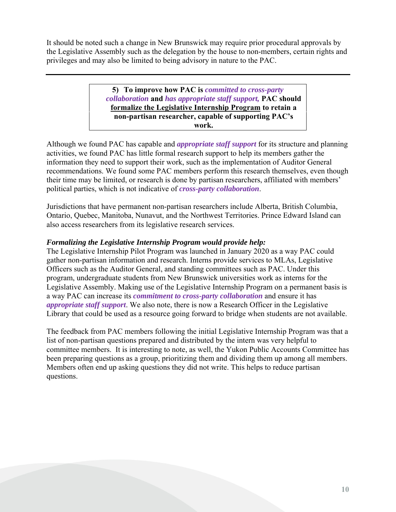It should be noted such a change in New Brunswick may require prior procedural approvals by the Legislative Assembly such as the delegation by the house to non-members, certain rights and privileges and may also be limited to being advisory in nature to the PAC.

> **5) To improve how PAC is** *committed to cross-party collaboration* **and** *has appropriate staff support,* **PAC should formalize the Legislative Internship Program to retain a non-partisan researcher, capable of supporting PAC's work.**

Although we found PAC has capable and *appropriate staff support* for its structure and planning activities, we found PAC has little formal research support to help its members gather the information they need to support their work, such as the implementation of Auditor General recommendations. We found some PAC members perform this research themselves, even though their time may be limited, or research is done by partisan researchers, affiliated with members' political parties, which is not indicative of *cross-party collaboration*.

Jurisdictions that have permanent non-partisan researchers include Alberta, British Columbia, Ontario, Quebec, Manitoba, Nunavut, and the Northwest Territories. Prince Edward Island can also access researchers from its legislative research services.

#### *Formalizing the Legislative Internship Program would provide help:*

The Legislative Internship Pilot Program was launched in January 2020 as a way PAC could gather non-partisan information and research. Interns provide services to MLAs, Legislative Officers such as the Auditor General, and standing committees such as PAC. Under this program, undergraduate students from New Brunswick universities work as interns for the Legislative Assembly. Making use of the Legislative Internship Program on a permanent basis is a way PAC can increase its *commitment to cross-party collaboration* and ensure it has *appropriate staff support*. We also note, there is now a Research Officer in the Legislative Library that could be used as a resource going forward to bridge when students are not available.

The feedback from PAC members following the initial Legislative Internship Program was that a list of non-partisan questions prepared and distributed by the intern was very helpful to committee members. It is interesting to note, as well, the Yukon Public Accounts Committee has been preparing questions as a group, prioritizing them and dividing them up among all members. Members often end up asking questions they did not write. This helps to reduce partisan questions.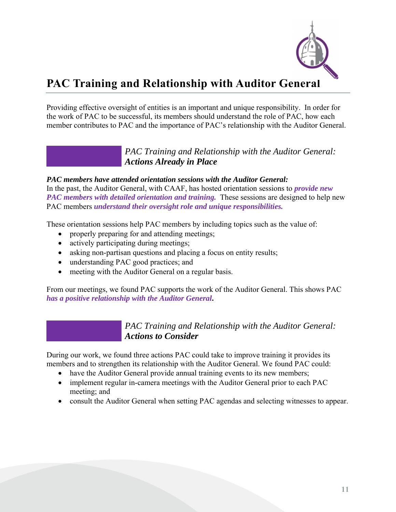

# **PAC Training and Relationship with Auditor General**

Providing effective oversight of entities is an important and unique responsibility. In order for the work of PAC to be successful, its members should understand the role of PAC, how each member contributes to PAC and the importance of PAC's relationship with the Auditor General.

> *PAC Training and Relationship with the Auditor General: Actions Already in Place*

#### *PAC members have attended orientation sessions with the Auditor General:*

In the past, the Auditor General, with CAAF, has hosted orientation sessions to *provide new PAC members with detailed orientation and training.* These sessions are designed to help new PAC members *understand their oversight role and unique responsibilities.*

These orientation sessions help PAC members by including topics such as the value of:

- properly preparing for and attending meetings;
- actively participating during meetings;
- asking non-partisan questions and placing a focus on entity results;
- understanding PAC good practices; and
- meeting with the Auditor General on a regular basis.

From our meetings, we found PAC supports the work of the Auditor General. This shows PAC *has a positive relationship with the Auditor General***.** 

> *PAC Training and Relationship with the Auditor General: Actions to Consider*

During our work, we found three actions PAC could take to improve training it provides its members and to strengthen its relationship with the Auditor General. We found PAC could:

- have the Auditor General provide annual training events to its new members;
- implement regular in-camera meetings with the Auditor General prior to each PAC meeting; and
- consult the Auditor General when setting PAC agendas and selecting witnesses to appear.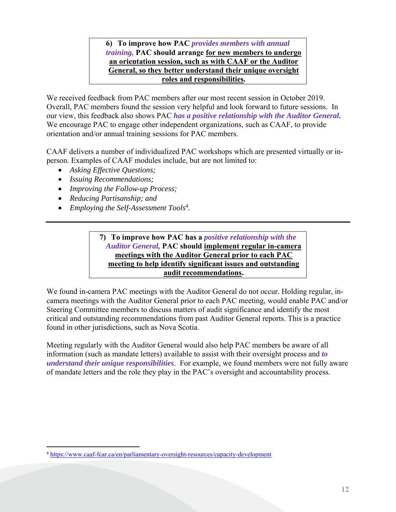**6) To improve how PAC** *provides members with annual training,* **PAC should arrange for new members to undergo an orientation session, such as with CAAF or the Auditor General, so they better understand their unique oversight roles and responsibilities.**

We received feedback from PAC members after our most recent session in October 2019. Overall, PAC members found the session very helpful and look forward to future sessions. In our view, this feedback also shows PAC *has a positive relationship with the Auditor General***.** We encourage PAC to engage other independent organizations, such as CAAF, to provide orientation and/or annual training sessions for PAC members.

CAAF delivers a number of individualized PAC workshops which are presented virtually or inperson. Examples of CAAF modules include, but are not limited to:

- *Asking Effective Questions;*
- *Issuing Recommendations;*
- *Improving the Follow-up Process;*
- *Reducing Partisanship; and*
- *Employing the Self-Assessment Tools4 .*

**7) To improve how PAC has a** *positive relationship with the Auditor General,* **PAC should implement regular in-camera meetings with the Auditor General prior to each PAC meeting to help identify significant issues and outstanding audit recommendations.**

We found in-camera PAC meetings with the Auditor General do not occur. Holding regular, incamera meetings with the Auditor General prior to each PAC meeting, would enable PAC and/or Steering Committee members to discuss matters of audit significance and identify the most critical and outstanding recommendations from past Auditor General reports. This is a practice found in other jurisdictions, such as Nova Scotia.

Meeting regularly with the Auditor General would also help PAC members be aware of all information (such as mandate letters) available to assist with their oversight process and *to understand their unique responsibilities*. For example, we found members were not fully aware of mandate letters and the role they play in the PAC's oversight and accountability process.

 <sup>4</sup> https://www.caaf-fcar.ca/en/parliamentary-oversight-resources/capacity-development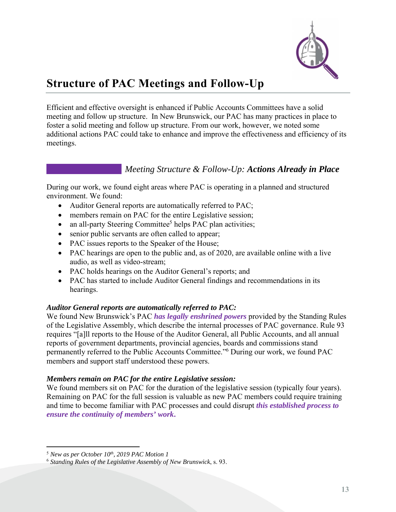

# **Structure of PAC Meetings and Follow-Up**

Efficient and effective oversight is enhanced if Public Accounts Committees have a solid meeting and follow up structure. In New Brunswick, our PAC has many practices in place to foster a solid meeting and follow up structure. From our work, however, we noted some additional actions PAC could take to enhance and improve the effectiveness and efficiency of its meetings.

# *Meeting Structure & Follow-Up: Actions Already in Place*

During our work, we found eight areas where PAC is operating in a planned and structured environment. We found:

- Auditor General reports are automatically referred to PAC;
- members remain on PAC for the entire Legislative session;
- $\bullet$  an all-party Steering Committee<sup>5</sup> helps PAC plan activities;
- senior public servants are often called to appear;
- PAC issues reports to the Speaker of the House;
- PAC hearings are open to the public and, as of 2020, are available online with a live audio, as well as video-stream;
- PAC holds hearings on the Auditor General's reports; and
- PAC has started to include Auditor General findings and recommendations in its hearings.

# *Auditor General reports are automatically referred to PAC:*

We found New Brunswick's PAC *has legally enshrined powers* provided by the Standing Rules of the Legislative Assembly, which describe the internal processes of PAC governance. Rule 93 requires "[a]ll reports to the House of the Auditor General, all Public Accounts, and all annual reports of government departments, provincial agencies, boards and commissions stand permanently referred to the Public Accounts Committee."6 During our work, we found PAC members and support staff understood these powers.

## *Members remain on PAC for the entire Legislative session:*

We found members sit on PAC for the duration of the legislative session (typically four years). Remaining on PAC for the full session is valuable as new PAC members could require training and time to become familiar with PAC processes and could disrupt *this established process to ensure the continuity of members' work***.** 

 <sup>5</sup> New as per October 10<sup>th</sup>, 2019 PAC Motion 1

<sup>6</sup> *Standing Rules of the Legislative Assembly of New Brunswick*, s. 93.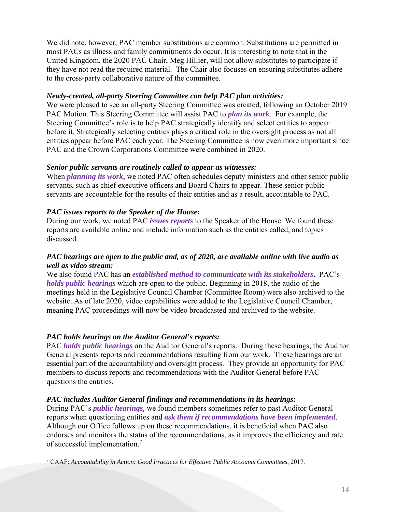We did note, however, PAC member substitutions are common. Substitutions are permitted in most PACs as illness and family commitments do occur. It is interesting to note that in the United Kingdom, the 2020 PAC Chair, Meg Hillier, will not allow substitutes to participate if they have not read the required material. The Chair also focuses on ensuring substitutes adhere to the cross-party collaborative nature of the committee.

## *Newly-created, all-party Steering Committee can help PAC plan activities:*

We were pleased to see an all-party Steering Committee was created, following an October 2019 PAC Motion. This Steering Committee will assist PAC to *plan its work*. For example, the Steering Committee's role is to help PAC strategically identify and select entities to appear before it. Strategically selecting entities plays a critical role in the oversight process as not all entities appear before PAC each year. The Steering Committee is now even more important since PAC and the Crown Corporations Committee were combined in 2020.

# *Senior public servants are routinely called to appear as witnesses:*

When *planning its work*, we noted PAC often schedules deputy ministers and other senior public servants, such as chief executive officers and Board Chairs to appear. These senior public servants are accountable for the results of their entities and as a result, accountable to PAC.

# *PAC issues reports to the Speaker of the House:*

During our work, we noted PAC *issues reports* to the Speaker of the House. We found these reports are available online and include information such as the entities called, and topics discussed.

## *PAC hearings are open to the public and, as of 2020, are available online with live audio as well as video stream:*

We also found PAC has an *established method to communicate with its stakeholders***.** PAC's *holds public hearings* which are open to the public. Beginning in 2018, the audio of the meetings held in the Legislative Council Chamber (Committee Room) were also archived to the website. As of late 2020, video capabilities were added to the Legislative Council Chamber, meaning PAC proceedings will now be video broadcasted and archived to the website.

# *PAC holds hearings on the Auditor General's reports:*

PAC *holds public hearings* on the Auditor General's reports. During these hearings, the Auditor General presents reports and recommendations resulting from our work. These hearings are an essential part of the accountability and oversight process. They provide an opportunity for PAC members to discuss reports and recommendations with the Auditor General before PAC questions the entities.

## *PAC includes Auditor General findings and recommendations in its hearings:*

During PAC's *public hearings,* we found members sometimes refer to past Auditor General reports when questioning entities and *ask them if recommendations have been implemented*. Although our Office follows up on these recommendations, it is beneficial when PAC also endorses and monitors the status of the recommendations, as it improves the efficiency and rate of successful implementation.7

 7 CAAF: *Accountability in Action: Good Practices for Effective Public Accounts Committees*, 2017*.*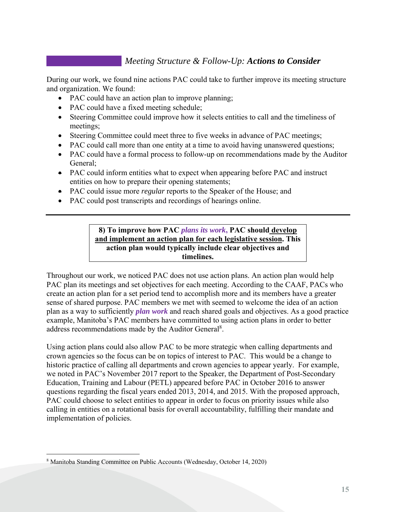# *Meeting Structure & Follow-Up: Actions to Consider*

During our work, we found nine actions PAC could take to further improve its meeting structure and organization. We found:

- PAC could have an action plan to improve planning;
- PAC could have a fixed meeting schedule;
- Steering Committee could improve how it selects entities to call and the timeliness of meetings;
- Steering Committee could meet three to five weeks in advance of PAC meetings;
- PAC could call more than one entity at a time to avoid having unanswered questions;
- PAC could have a formal process to follow-up on recommendations made by the Auditor General;
- PAC could inform entities what to expect when appearing before PAC and instruct entities on how to prepare their opening statements;
- PAC could issue more *regular* reports to the Speaker of the House; and
- PAC could post transcripts and recordings of hearings online.

**8) To improve how PAC** *plans its work***, PAC should develop and implement an action plan for each legislative session. This action plan would typically include clear objectives and timelines.** 

Throughout our work, we noticed PAC does not use action plans. An action plan would help PAC plan its meetings and set objectives for each meeting. According to the CAAF, PACs who create an action plan for a set period tend to accomplish more and its members have a greater sense of shared purpose. PAC members we met with seemed to welcome the idea of an action plan as a way to sufficiently *plan work* and reach shared goals and objectives. As a good practice example, Manitoba's PAC members have committed to using action plans in order to better address recommendations made by the Auditor General<sup>8</sup>.

Using action plans could also allow PAC to be more strategic when calling departments and crown agencies so the focus can be on topics of interest to PAC. This would be a change to historic practice of calling all departments and crown agencies to appear yearly. For example, we noted in PAC's November 2017 report to the Speaker, the Department of Post-Secondary Education, Training and Labour (PETL) appeared before PAC in October 2016 to answer questions regarding the fiscal years ended 2013, 2014, and 2015. With the proposed approach, PAC could choose to select entities to appear in order to focus on priority issues while also calling in entities on a rotational basis for overall accountability, fulfilling their mandate and implementation of policies.

 8 Manitoba Standing Committee on Public Accounts (Wednesday, October 14, 2020)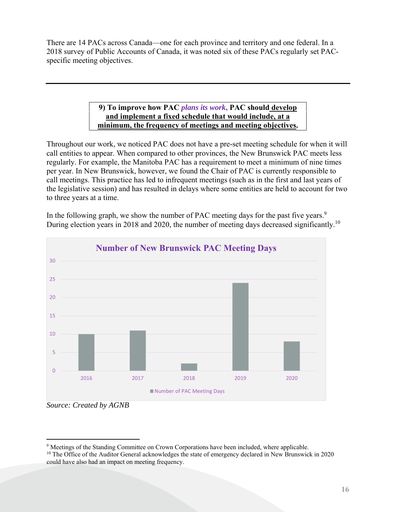There are 14 PACs across Canada—one for each province and territory and one federal. In a 2018 survey of Public Accounts of Canada, it was noted six of these PACs regularly set PACspecific meeting objectives.

## **9) To improve how PAC** *plans its work***, PAC should develop and implement a fixed schedule that would include, at a minimum, the frequency of meetings and meeting objectives.**

Throughout our work, we noticed PAC does not have a pre-set meeting schedule for when it will call entities to appear. When compared to other provinces, the New Brunswick PAC meets less regularly. For example, the Manitoba PAC has a requirement to meet a minimum of nine times per year. In New Brunswick, however, we found the Chair of PAC is currently responsible to call meetings. This practice has led to infrequent meetings (such as in the first and last years of the legislative session) and has resulted in delays where some entities are held to account for two to three years at a time.

 $\Omega$ 5 10 15 20 25 30 2016 2017 2018 2019 2020 **Number of New Brunswick PAC Meeting Days** Number of PAC Meeting Days

In the following graph, we show the number of PAC meeting days for the past five years.<sup>9</sup> During election years in 2018 and 2020, the number of meeting days decreased significantly.<sup>10</sup>

*Source: Created by AGNB* 

 <sup>9</sup> Meetings of the Standing Committee on Crown Corporations have been included, where applicable.

<sup>&</sup>lt;sup>10</sup> The Office of the Auditor General acknowledges the state of emergency declared in New Brunswick in 2020 could have also had an impact on meeting frequency.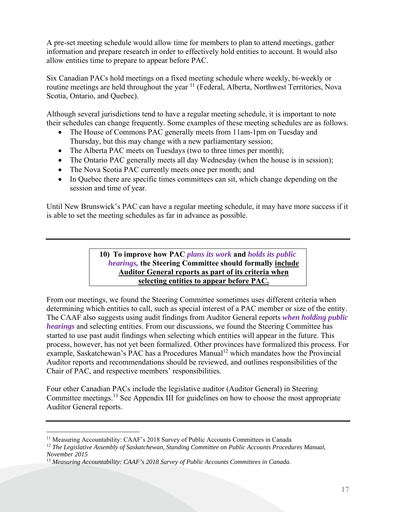A pre-set meeting schedule would allow time for members to plan to attend meetings, gather information and prepare research in order to effectively hold entities to account. It would also allow entities time to prepare to appear before PAC.

Six Canadian PACs hold meetings on a fixed meeting schedule where weekly, bi-weekly or routine meetings are held throughout the year 11 (Federal, Alberta, Northwest Territories, Nova Scotia, Ontario, and Quebec).

Although several jurisdictions tend to have a regular meeting schedule, it is important to note their schedules can change frequently. Some examples of these meeting schedules are as follows.

- The House of Commons PAC generally meets from 11am-1pm on Tuesday and Thursday, but this may change with a new parliamentary session;
- The Alberta PAC meets on Tuesdays (two to three times per month);
- The Ontario PAC generally meets all day Wednesday (when the house is in session);
- The Nova Scotia PAC currently meets once per month; and
- In Quebec there are specific times committees can sit, which change depending on the session and time of year.

Until New Brunswick's PAC can have a regular meeting schedule, it may have more success if it is able to set the meeting schedules as far in advance as possible.

## **10) To improve how PAC** *plans its work* **and** *holds its public hearings,* **the Steering Committee should formally include Auditor General reports as part of its criteria when selecting entities to appear before PAC.**

From our meetings, we found the Steering Committee sometimes uses different criteria when determining which entities to call, such as special interest of a PAC member or size of the entity. The CAAF also suggests using audit findings from Auditor General reports *when holding public hearings* and selecting entities. From our discussions, we found the Steering Committee has started to use past audit findings when selecting which entities will appear in the future. This process, however, has not yet been formalized. Other provinces have formalized this process. For example, Saskatchewan's PAC has a Procedures Manual<sup>12</sup> which mandates how the Provincial Auditor reports and recommendations should be reviewed, and outlines responsibilities of the Chair of PAC, and respective members' responsibilities.

Four other Canadian PACs include the legislative auditor (Auditor General) in Steering Committee meetings.13 See Appendix III for guidelines on how to choose the most appropriate Auditor General reports.

<sup>&</sup>lt;sup>11</sup> Measuring Accountability: CAAF's 2018 Survey of Public Accounts Committees in Canada

<sup>&</sup>lt;sup>12</sup> The Legislative Assembly of Saskatchewan, Standing Committee on Public Accounts Procedures Manual, *November 2015*

<sup>13</sup> *Measuring Accountability: CAAF's 2018 Survey of Public Accounts Committees in Canada.*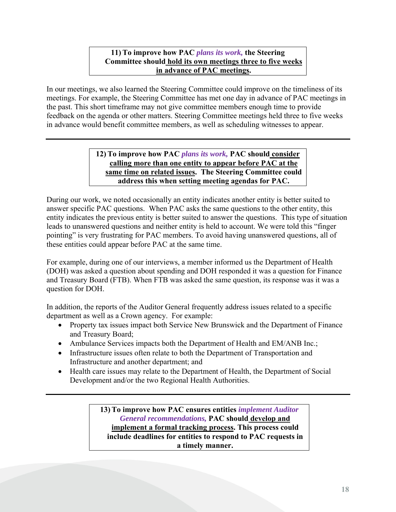# **11) To improve how PAC** *plans its work,* **the Steering Committee should hold its own meetings three to five weeks in advance of PAC meetings.**

In our meetings, we also learned the Steering Committee could improve on the timeliness of its meetings. For example, the Steering Committee has met one day in advance of PAC meetings in the past. This short timeframe may not give committee members enough time to provide feedback on the agenda or other matters. Steering Committee meetings held three to five weeks in advance would benefit committee members, as well as scheduling witnesses to appear.

## **12) To improve how PAC** *plans its work,* **PAC should consider calling more than one entity to appear before PAC at the same time on related issues. The Steering Committee could address this when setting meeting agendas for PAC.**

During our work, we noted occasionally an entity indicates another entity is better suited to answer specific PAC questions. When PAC asks the same questions to the other entity, this entity indicates the previous entity is better suited to answer the questions. This type of situation leads to unanswered questions and neither entity is held to account. We were told this "finger pointing" is very frustrating for PAC members. To avoid having unanswered questions, all of these entities could appear before PAC at the same time.

For example, during one of our interviews, a member informed us the Department of Health (DOH) was asked a question about spending and DOH responded it was a question for Finance and Treasury Board (FTB). When FTB was asked the same question, its response was it was a question for DOH.

In addition, the reports of the Auditor General frequently address issues related to a specific department as well as a Crown agency. For example:

- Property tax issues impact both Service New Brunswick and the Department of Finance and Treasury Board;
- Ambulance Services impacts both the Department of Health and EM/ANB Inc.;
- Infrastructure issues often relate to both the Department of Transportation and Infrastructure and another department; and
- Health care issues may relate to the Department of Health, the Department of Social Development and/or the two Regional Health Authorities.

**13) To improve how PAC ensures entities** *implement Auditor General recommendations,* **PAC should develop and implement a formal tracking process. This process could include deadlines for entities to respond to PAC requests in a timely manner.**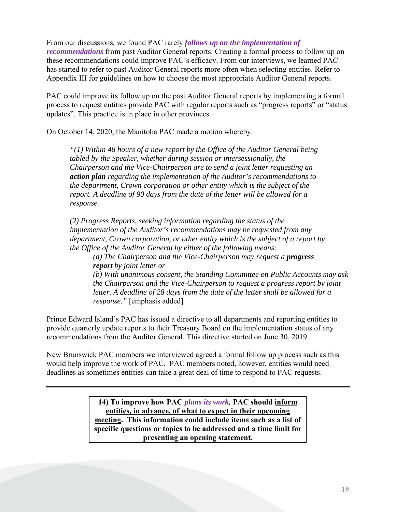From our discussions, we found PAC rarely *follows up on the implementation of recommendations* from past Auditor General reports. Creating a formal process to follow up on these recommendations could improve PAC's efficacy. From our interviews, we learned PAC has started to refer to past Auditor General reports more often when selecting entities. Refer to Appendix III for guidelines on how to choose the most appropriate Auditor General reports.

PAC could improve its follow up on the past Auditor General reports by implementing a formal process to request entities provide PAC with regular reports such as "progress reports" or "status updates". This practice is in place in other provinces.

On October 14, 2020, the Manitoba PAC made a motion whereby:

*"(1) Within 48 hours of a new report by the Office of the Auditor General being tabled by the Speaker, whether during session or intersessionally, the Chairperson and the Vice-Chairperson are to send a joint letter requesting an action plan regarding the implementation of the Auditor's recommendations to the department, Crown corporation or other entity which is the subject of the report. A deadline of 90 days from the date of the letter will be allowed for a response.* 

*(2) Progress Reports, seeking information regarding the status of the implementation of the Auditor's recommendations may be requested from any department, Crown corporation, or other entity which is the subject of a report by the Office of the Auditor General by either of the following means:* 

*(a) The Chairperson and the Vice-Chairperson may request a progress report by joint letter or (b) With unanimous consent, the Standing Committee on Public Accounts may ask the Chairperson and the Vice-Chairperson to request a progress report by joint letter. A deadline of 28 days from the date of the letter shall be allowed for a response."* [emphasis added]

Prince Edward Island's PAC has issued a directive to all departments and reporting entities to provide quarterly update reports to their Treasury Board on the implementation status of any recommendations from the Auditor General. This directive started on June 30, 2019.

New Brunswick PAC members we interviewed agreed a formal follow up process such as this would help improve the work of PAC. PAC members noted, however, entities would need deadlines as sometimes entities can take a great deal of time to respond to PAC requests.

> **14) To improve how PAC** *plans its work,* **PAC should inform entities, in advance, of what to expect in their upcoming meeting. This information could include items such as a list of specific questions or topics to be addressed and a time limit for presenting an opening statement.**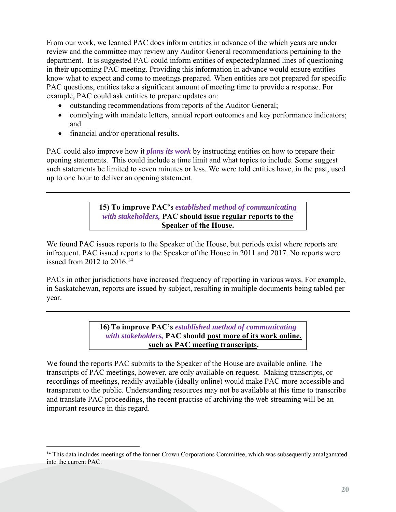From our work, we learned PAC does inform entities in advance of the which years are under review and the committee may review any Auditor General recommendations pertaining to the department. It is suggested PAC could inform entities of expected/planned lines of questioning in their upcoming PAC meeting. Providing this information in advance would ensure entities know what to expect and come to meetings prepared. When entities are not prepared for specific PAC questions, entities take a significant amount of meeting time to provide a response. For example, PAC could ask entities to prepare updates on:

- outstanding recommendations from reports of the Auditor General;
- complying with mandate letters, annual report outcomes and key performance indicators; and
- financial and/or operational results.

PAC could also improve how it *plans its work* by instructing entities on how to prepare their opening statements. This could include a time limit and what topics to include. Some suggest such statements be limited to seven minutes or less. We were told entities have, in the past, used up to one hour to deliver an opening statement.

> **15) To improve PAC's** *established method of communicating with stakeholders,* **PAC should issue regular reports to the Speaker of the House.**

We found PAC issues reports to the Speaker of the House, but periods exist where reports are infrequent. PAC issued reports to the Speaker of the House in 2011 and 2017. No reports were issued from 2012 to 2016.14

PACs in other jurisdictions have increased frequency of reporting in various ways. For example, in Saskatchewan, reports are issued by subject, resulting in multiple documents being tabled per year.

> **16) To improve PAC's** *established method of communicating with stakeholders,* **PAC should post more of its work online, such as PAC meeting transcripts.**

We found the reports PAC submits to the Speaker of the House are available online. The transcripts of PAC meetings, however, are only available on request. Making transcripts, or recordings of meetings, readily available (ideally online) would make PAC more accessible and transparent to the public. Understanding resources may not be available at this time to transcribe and translate PAC proceedings, the recent practise of archiving the web streaming will be an important resource in this regard.

<sup>&</sup>lt;sup>14</sup> This data includes meetings of the former Crown Corporations Committee, which was subsequently amalgamated into the current PAC.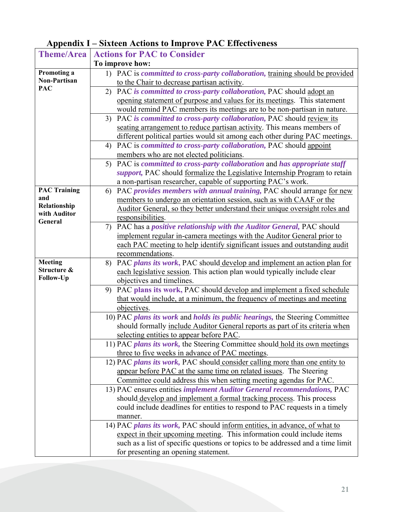# **Appendix I – Sixteen Actions to Improve PAC Effectiveness**

| <b>Theme/Area</b>          | <b>Actions for PAC to Consider</b>                                                             |
|----------------------------|------------------------------------------------------------------------------------------------|
|                            | To improve how:                                                                                |
| Promoting a                | 1) PAC is committed to cross-party collaboration, training should be provided                  |
| <b>Non-Partisan</b>        | to the Chair to decrease partisan activity.                                                    |
| <b>PAC</b>                 | PAC is committed to cross-party collaboration, PAC should adopt an<br>2)                       |
|                            | opening statement of purpose and values for its meetings. This statement                       |
|                            | would remind PAC members its meetings are to be non-partisan in nature.                        |
|                            | PAC is committed to cross-party collaboration, PAC should review its<br>3)                     |
|                            | seating arrangement to reduce partisan activity. This means members of                         |
|                            | different political parties would sit among each other during PAC meetings.                    |
|                            | PAC is committed to cross-party collaboration, PAC should appoint<br>4)                        |
|                            | members who are not elected politicians.                                                       |
|                            | PAC is committed to cross-party collaboration and has appropriate staff<br>5)                  |
|                            | support, PAC should formalize the Legislative Internship Program to retain                     |
|                            | a non-partisan researcher, capable of supporting PAC's work.                                   |
| <b>PAC Training</b><br>and | PAC provides members with annual training, PAC should arrange for new<br>6)                    |
| Relationship               | members to undergo an orientation session, such as with CAAF or the                            |
| with Auditor               | Auditor General, so they better understand their unique oversight roles and                    |
| General                    | responsibilities.                                                                              |
|                            | PAC has a positive relationship with the Auditor General, PAC should<br>7)                     |
|                            | implement regular in-camera meetings with the Auditor General prior to                         |
|                            | each PAC meeting to help identify significant issues and outstanding audit<br>recommendations. |
| <b>Meeting</b>             | PAC plans its work, PAC should develop and implement an action plan for<br>8)                  |
| Structure &                | each legislative session. This action plan would typically include clear                       |
| Follow-Up                  | objectives and timelines.                                                                      |
|                            | PAC plans its work, PAC should develop and implement a fixed schedule<br>9)                    |
|                            | that would include, at a minimum, the frequency of meetings and meeting                        |
|                            | objectives.                                                                                    |
|                            | 10) PAC plans its work and holds its public hearings, the Steering Committee                   |
|                            | should formally include Auditor General reports as part of its criteria when                   |
|                            | selecting entities to appear before PAC.                                                       |
|                            | 11) PAC plans its work, the Steering Committee should hold its own meetings                    |
|                            | three to five weeks in advance of PAC meetings.                                                |
|                            | 12) PAC plans its work, PAC should consider calling more than one entity to                    |
|                            | appear before PAC at the same time on related issues. The Steering                             |
|                            | Committee could address this when setting meeting agendas for PAC.                             |
|                            | 13) PAC ensures entities implement Auditor General recommendations, PAC                        |
|                            | should develop and implement a formal tracking process. This process                           |
|                            | could include deadlines for entities to respond to PAC requests in a timely                    |
|                            | manner.                                                                                        |
|                            | 14) PAC plans its work, PAC should inform entities, in advance, of what to                     |
|                            | expect in their upcoming meeting. This information could include items                         |
|                            | such as a list of specific questions or topics to be addressed and a time limit                |
|                            | for presenting an opening statement.                                                           |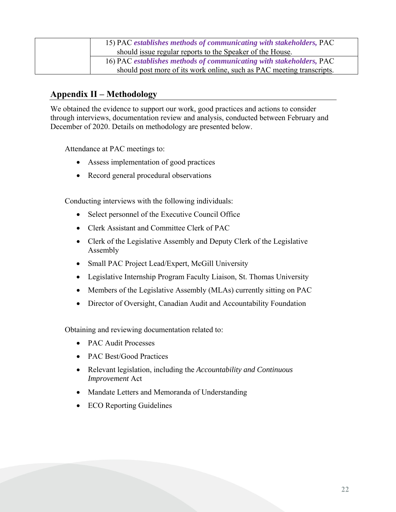| 15) PAC establishes methods of communicating with stakeholders, PAC   |
|-----------------------------------------------------------------------|
| should issue regular reports to the Speaker of the House.             |
| 16) PAC establishes methods of communicating with stakeholders, PAC   |
| should post more of its work online, such as PAC meeting transcripts. |

# **Appendix II – Methodology**

We obtained the evidence to support our work, good practices and actions to consider through interviews, documentation review and analysis, conducted between February and December of 2020. Details on methodology are presented below.

Attendance at PAC meetings to:

- Assess implementation of good practices
- Record general procedural observations

Conducting interviews with the following individuals:

- Select personnel of the Executive Council Office
- Clerk Assistant and Committee Clerk of PAC
- Clerk of the Legislative Assembly and Deputy Clerk of the Legislative Assembly
- Small PAC Project Lead/Expert, McGill University
- Legislative Internship Program Faculty Liaison, St. Thomas University
- Members of the Legislative Assembly (MLAs) currently sitting on PAC
- Director of Oversight, Canadian Audit and Accountability Foundation

Obtaining and reviewing documentation related to:

- PAC Audit Processes
- PAC Best/Good Practices
- Relevant legislation, including the *Accountability and Continuous Improvement* Act
- Mandate Letters and Memoranda of Understanding
- ECO Reporting Guidelines